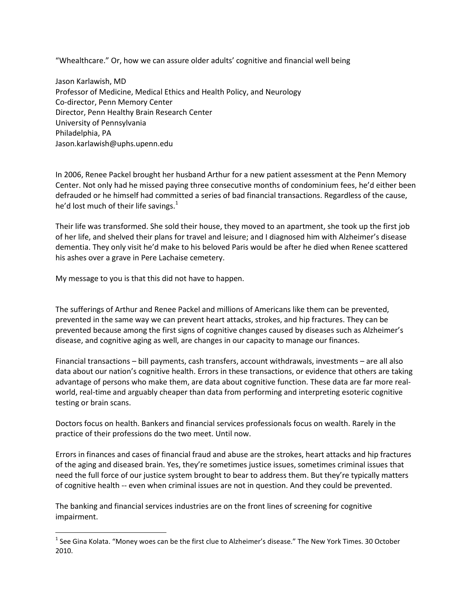"Whealthcare." Or, how we can assure older adults' cognitive and financial well being

Jason Karlawish, MD Professor of Medicine, Medical Ethics and Health Policy, and Neurology Co-director, Penn Memory Center Director, Penn Healthy Brain Research Center University of Pennsylvania Philadelphia, PA Jason.karlawish@uphs.upenn.edu

In 2006, Renee Packel brought her husband Arthur for a new patient assessment at the Penn Memory Center. Not only had he missed paying three consecutive months of condominium fees, he'd either been defrauded or he himself had committed a series of bad financial transactions. Regardless of the cause, he'd lost much of their life savings. $<sup>1</sup>$ </sup>

Their life was transformed. She sold their house, they moved to an apartment, she took up the first job of her life, and shelved their plans for travel and leisure; and I diagnosed him with Alzheimer's disease dementia. They only visit he'd make to his beloved Paris would be after he died when Renee scattered his ashes over a grave in Pere Lachaise cemetery.

My message to you is that this did not have to happen.

The sufferings of Arthur and Renee Packel and millions of Americans like them can be prevented, prevented in the same way we can prevent heart attacks, strokes, and hip fractures. They can be prevented because among the first signs of cognitive changes caused by diseases such as Alzheimer's disease, and cognitive aging as well, are changes in our capacity to manage our finances.

Financial transactions – bill payments, cash transfers, account withdrawals, investments – are all also data about our nation's cognitive health. Errors in these transactions, or evidence that others are taking advantage of persons who make them, are data about cognitive function. These data are far more realworld, real-time and arguably cheaper than data from performing and interpreting esoteric cognitive testing or brain scans.

Doctors focus on health. Bankers and financial services professionals focus on wealth. Rarely in the practice of their professions do the two meet. Until now.

Errors in finances and cases of financial fraud and abuse are the strokes, heart attacks and hip fractures of the aging and diseased brain. Yes, they're sometimes justice issues, sometimes criminal issues that need the full force of our justice system brought to bear to address them. But they're typically matters of cognitive health -- even when criminal issues are not in question. And they could be prevented.

The banking and financial services industries are on the front lines of screening for cognitive impairment.

 $^1$  See Gina Kolata. "Money woes can be the first clue to Alzheimer's disease." The New York Times. 30 October 2010.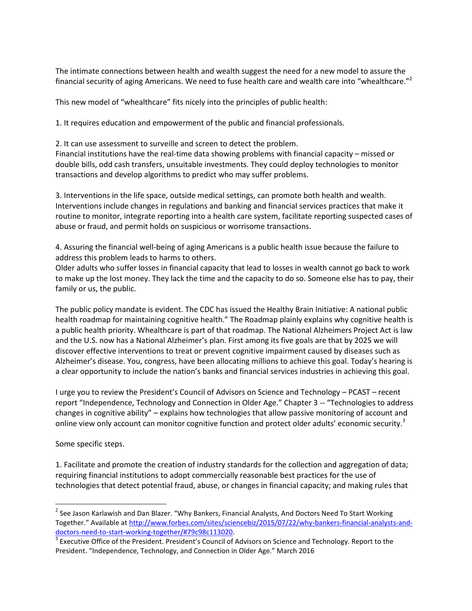The intimate connections between health and wealth suggest the need for a new model to assure the financial security of aging Americans. We need to fuse health care and wealth care into "whealthcare."<sup>2</sup>

This new model of "whealthcare" fits nicely into the principles of public health:

1. It requires education and empowerment of the public and financial professionals.

2. It can use assessment to surveille and screen to detect the problem. Financial institutions have the real-time data showing problems with financial capacity – missed or double bills, odd cash transfers, unsuitable investments. They could deploy technologies to monitor transactions and develop algorithms to predict who may suffer problems.

3. Interventions in the life space, outside medical settings, can promote both health and wealth. Interventions include changes in regulations and banking and financial services practices that make it routine to monitor, integrate reporting into a health care system, facilitate reporting suspected cases of abuse or fraud, and permit holds on suspicious or worrisome transactions.

4. Assuring the financial well-being of aging Americans is a public health issue because the failure to address this problem leads to harms to others.

Older adults who suffer losses in financial capacity that lead to losses in wealth cannot go back to work to make up the lost money. They lack the time and the capacity to do so. Someone else has to pay, their family or us, the public.

The public policy mandate is evident. The CDC has issued the Healthy Brain Initiative: A national public health roadmap for maintaining cognitive health." The Roadmap plainly explains why cognitive health is a public health priority. Whealthcare is part of that roadmap. The National Alzheimers Project Act is law and the U.S. now has a National Alzheimer's plan. First among its five goals are that by 2025 we will discover effective interventions to treat or prevent cognitive impairment caused by diseases such as Alzheimer's disease. You, congress, have been allocating millions to achieve this goal. Today's hearing is a clear opportunity to include the nation's banks and financial services industries in achieving this goal.

I urge you to review the President's Council of Advisors on Science and Technology – PCAST – recent report "Independence, Technology and Connection in Older Age." Chapter 3 -- "Technologies to address changes in cognitive ability" – explains how technologies that allow passive monitoring of account and online view only account can monitor cognitive function and protect older adults' economic security.<sup>3</sup>

Some specific steps.

l

1. Facilitate and promote the creation of industry standards for the collection and aggregation of data; requiring financial institutions to adopt commercially reasonable best practices for the use of technologies that detect potential fraud, abuse, or changes in financial capacity; and making rules that

 $^{2}$  See Jason Karlawish and Dan Blazer. "Why Bankers, Financial Analysts, And Doctors Need To Start Working Together." Available at [http://www.forbes.com/sites/sciencebiz/2015/07/22/why-bankers-financial-analysts-and](http://www.forbes.com/sites/sciencebiz/2015/07/22/why-bankers-financial-analysts-and-doctors-need-to-start-working-together/#79c98c113020)[doctors-need-to-start-working-together/#79c98c113020.](http://www.forbes.com/sites/sciencebiz/2015/07/22/why-bankers-financial-analysts-and-doctors-need-to-start-working-together/#79c98c113020)

 $3$  Executive Office of the President. President's Council of Advisors on Science and Technology. Report to the President. "Independence, Technology, and Connection in Older Age." March 2016